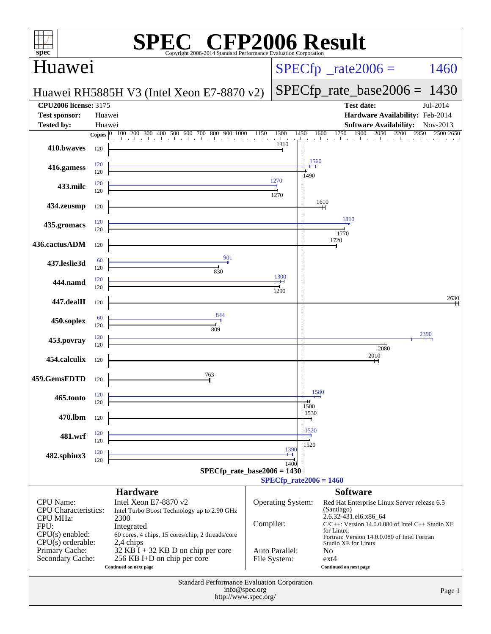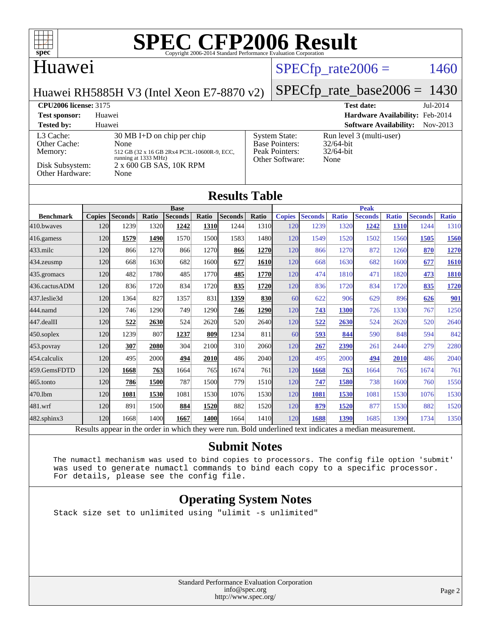

#### Huawei

### $SPECTp\_rate2006 = 1460$

[System State:](http://www.spec.org/auto/cpu2006/Docs/result-fields.html#SystemState) Run level 3 (multi-user)<br>Base Pointers: 32/64-bit

[Base Pointers:](http://www.spec.org/auto/cpu2006/Docs/result-fields.html#BasePointers) 32/64-bit<br>Peak Pointers: 32/64-bit

[Other Software:](http://www.spec.org/auto/cpu2006/Docs/result-fields.html#OtherSoftware) None

[Peak Pointers:](http://www.spec.org/auto/cpu2006/Docs/result-fields.html#PeakPointers)

Huawei RH5885H V3 (Intel Xeon E7-8870 v2)

#### [SPECfp\\_rate\\_base2006 =](http://www.spec.org/auto/cpu2006/Docs/result-fields.html#SPECfpratebase2006) 1430

**[CPU2006 license:](http://www.spec.org/auto/cpu2006/Docs/result-fields.html#CPU2006license)** 3175 **[Test date:](http://www.spec.org/auto/cpu2006/Docs/result-fields.html#Testdate)** Jul-2014 **[Test sponsor:](http://www.spec.org/auto/cpu2006/Docs/result-fields.html#Testsponsor)** Huawei **[Hardware Availability:](http://www.spec.org/auto/cpu2006/Docs/result-fields.html#HardwareAvailability)** Feb-2014

#### **[Tested by:](http://www.spec.org/auto/cpu2006/Docs/result-fields.html#Testedby)** Huawei **[Software Availability:](http://www.spec.org/auto/cpu2006/Docs/result-fields.html#SoftwareAvailability)** Nov-2013 [L3 Cache:](http://www.spec.org/auto/cpu2006/Docs/result-fields.html#L3Cache) 30 MB I+D on chip per chip<br>Other Cache: None [Other Cache:](http://www.spec.org/auto/cpu2006/Docs/result-fields.html#OtherCache) [Memory:](http://www.spec.org/auto/cpu2006/Docs/result-fields.html#Memory) 512 GB (32 x 16 GB 2Rx4 PC3L-10600R-9, ECC, running at 1333 MHz) [Disk Subsystem:](http://www.spec.org/auto/cpu2006/Docs/result-fields.html#DiskSubsystem) 2 x 600 GB SAS, 10K RPM

| DISK Subsystem:<br>Other Hardware: |               | None           |       | 2 X 000 GB SAS, TUK RPM |       |                      |            |               |                |              |                |              |                |              |
|------------------------------------|---------------|----------------|-------|-------------------------|-------|----------------------|------------|---------------|----------------|--------------|----------------|--------------|----------------|--------------|
|                                    |               |                |       |                         |       | <b>Results Table</b> |            |               |                |              |                |              |                |              |
|                                    | <b>Base</b>   |                |       |                         |       |                      |            | <b>Peak</b>   |                |              |                |              |                |              |
| <b>Benchmark</b>                   | <b>Copies</b> | <b>Seconds</b> | Ratio | <b>Seconds</b>          | Ratio | <b>Seconds</b>       | Ratio      | <b>Copies</b> | <b>Seconds</b> | <b>Ratio</b> | <b>Seconds</b> | <b>Ratio</b> | <b>Seconds</b> | <b>Ratio</b> |
| 410.bwayes                         | 120           | 1239           | 1320  | 1242                    | 1310  | 1244                 | 1310       | 120           | 1239           | 1320         | 1242           | 1310         | 1244           | 1310         |
| 416.gamess                         | 120           | 1579           | 1490  | 1570                    | 1500  | 1583                 | 1480       | 120           | 1549           | 1520         | 1502           | 1560         | 1505           | 1560         |
| $433$ .milc                        | 120           | 866            | 1270  | 866                     | 1270  | 866                  | 1270       | 120           | 866            | 1270         | 872            | 1260         | 870            | 1270         |
| 434.zeusmp                         | 120           | 668            | 1630  | 682                     | 1600  | 677                  | 1610       | 120           | 668            | 1630         | 682            | 1600         | 677            | 1610         |
| 435.gromacs                        | 120           | 482            | 1780  | 485                     | 1770  | 485                  | 1770       | 120           | 474            | 1810         | 471            | 1820         | 473            | 1810         |
| 436.cactusADM                      | 120           | 836            | 1720  | 834                     | 1720  | 835                  | 1720       | 120           | 836            | 1720         | 834            | 1720         | 835            | 1720         |
| 437.leslie3d                       | 120           | 1364           | 827   | 1357                    | 831   | 1359                 | <b>830</b> | 60            | 622            | 906          | 629            | 896          | 626            | 901          |
| 444.namd                           | 120           | 746            | 1290  | 749                     | 1290  | 746                  | 1290       | 120           | 743            | 1300         | 726            | 1330         | 767            | 1250         |
| 447.dealII                         | 120           | 522            | 2630  | 524                     | 2620  | 520                  | 2640       | 120           | 522            | 2630         | 524            | 2620         | 520            | 2640         |
| 450.soplex                         | 120           | 1239           | 807   | 1237                    | 809   | 1234                 | 811        | 60            | 593            | 844          | 590            | 848          | 594            | 842          |
| 453.povray                         | 120           | 307            | 2080  | 304                     | 2100  | 310                  | 2060       | 120           | 267            | 2390         | 261            | 2440         | 279            | 2280         |
| 454.calculix                       | 120           | 495            | 2000  | 494                     | 2010  | 486                  | 2040       | 120           | 495            | 2000         | 494            | 2010         | 486            | 2040         |
| 459.GemsFDTD                       | 120           | 1668           | 763   | 1664                    | 765   | 1674                 | 761        | 120           | 1668           | 763          | 1664           | 765          | 1674           | 761          |
| 465.tonto                          | 120           | 786            | 1500  | 787                     | 1500  | 779                  | 1510       | 120           | 747            | 1580         | 738            | 1600         | 760            | 1550         |
| 470.1bm                            | 120           | 1081           | 1530  | 1081                    | 1530  | 1076                 | 1530       | 120           | 1081           | 1530         | 1081           | 1530         | 1076           | 1530         |
| 481.wrf                            | 120           | 891            | 1500  | 884                     | 1520  | 882                  | 1520       | 120           | 879            | 1520         | 877            | 1530         | 882            | 1520         |
| 482.sphinx3                        | 120           | 1668           | 1400  | 1667                    | 1400  | 1664                 | 1410       | 120           | 1688           | 1390         | 1685           | 1390         | 1734           | 1350         |

Results appear in the [order in which they were run.](http://www.spec.org/auto/cpu2006/Docs/result-fields.html#RunOrder) Bold underlined text [indicates a median measurement.](http://www.spec.org/auto/cpu2006/Docs/result-fields.html#Median)

#### **[Submit Notes](http://www.spec.org/auto/cpu2006/Docs/result-fields.html#SubmitNotes)**

 The numactl mechanism was used to bind copies to processors. The config file option 'submit' was used to generate numactl commands to bind each copy to a specific processor. For details, please see the config file.

#### **[Operating System Notes](http://www.spec.org/auto/cpu2006/Docs/result-fields.html#OperatingSystemNotes)**

Stack size set to unlimited using "ulimit -s unlimited"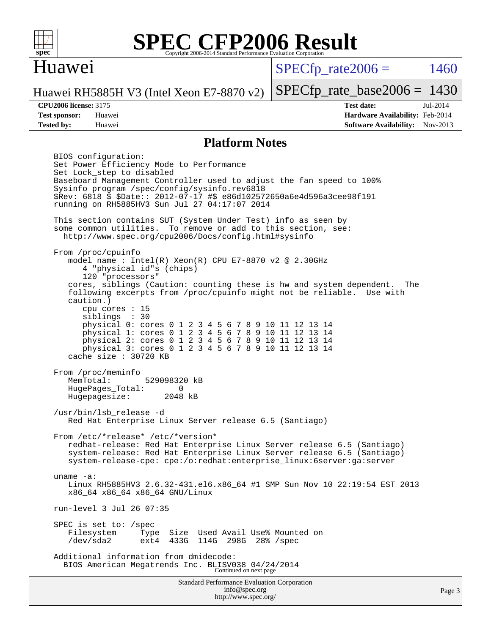

#### Huawei

 $SPECTp\_rate2006 = 1460$ 

[SPECfp\\_rate\\_base2006 =](http://www.spec.org/auto/cpu2006/Docs/result-fields.html#SPECfpratebase2006) 1430

Huawei RH5885H V3 (Intel Xeon E7-8870 v2)

**[Tested by:](http://www.spec.org/auto/cpu2006/Docs/result-fields.html#Testedby)** Huawei **[Software Availability:](http://www.spec.org/auto/cpu2006/Docs/result-fields.html#SoftwareAvailability)** Nov-2013

**[CPU2006 license:](http://www.spec.org/auto/cpu2006/Docs/result-fields.html#CPU2006license)** 3175 **[Test date:](http://www.spec.org/auto/cpu2006/Docs/result-fields.html#Testdate)** Jul-2014 **[Test sponsor:](http://www.spec.org/auto/cpu2006/Docs/result-fields.html#Testsponsor)** Huawei **[Hardware Availability:](http://www.spec.org/auto/cpu2006/Docs/result-fields.html#HardwareAvailability)** Feb-2014

#### **[Platform Notes](http://www.spec.org/auto/cpu2006/Docs/result-fields.html#PlatformNotes)**

Standard Performance Evaluation Corporation [info@spec.org](mailto:info@spec.org) BIOS configuration: Set Power Efficiency Mode to Performance Set Lock\_step to disabled Baseboard Management Controller used to adjust the fan speed to 100% Sysinfo program /spec/config/sysinfo.rev6818 \$Rev: 6818 \$ \$Date:: 2012-07-17 #\$ e86d102572650a6e4d596a3cee98f191 running on RH5885HV3 Sun Jul 27 04:17:07 2014 This section contains SUT (System Under Test) info as seen by some common utilities. To remove or add to this section, see: <http://www.spec.org/cpu2006/Docs/config.html#sysinfo> From /proc/cpuinfo model name : Intel(R) Xeon(R) CPU E7-8870 v2 @ 2.30GHz 4 "physical id"s (chips) 120 "processors" cores, siblings (Caution: counting these is hw and system dependent. The following excerpts from /proc/cpuinfo might not be reliable. Use with caution.) cpu cores : 15 siblings : 30 physical 0: cores 0 1 2 3 4 5 6 7 8 9 10 11 12 13 14 physical 1: cores 0 1 2 3 4 5 6 7 8 9 10 11 12 13 14 physical 2: cores 0 1 2 3 4 5 6 7 8 9 10 11 12 13 14 physical 3: cores 0 1 2 3 4 5 6 7 8 9 10 11 12 13 14 cache size : 30720 KB From /proc/meminfo<br>MemTotal: 529098320 kB HugePages\_Total: 0 Hugepagesize: 2048 kB /usr/bin/lsb\_release -d Red Hat Enterprise Linux Server release 6.5 (Santiago) From /etc/\*release\* /etc/\*version\* redhat-release: Red Hat Enterprise Linux Server release 6.5 (Santiago) system-release: Red Hat Enterprise Linux Server release 6.5 (Santiago) system-release-cpe: cpe:/o:redhat:enterprise\_linux:6server:ga:server uname -a: Linux RH5885HV3 2.6.32-431.el6.x86\_64 #1 SMP Sun Nov 10 22:19:54 EST 2013 x86\_64 x86\_64 x86\_64 GNU/Linux run-level 3 Jul 26 07:35 SPEC is set to: /spec<br>Filesystem Type Type Size Used Avail Use% Mounted on /dev/sda2 ext4 433G 114G 298G 28% /spec Additional information from dmidecode: BIOS American Megatrends Inc. BLISV038 04/24/2014 Continued on next page

<http://www.spec.org/>

Page 3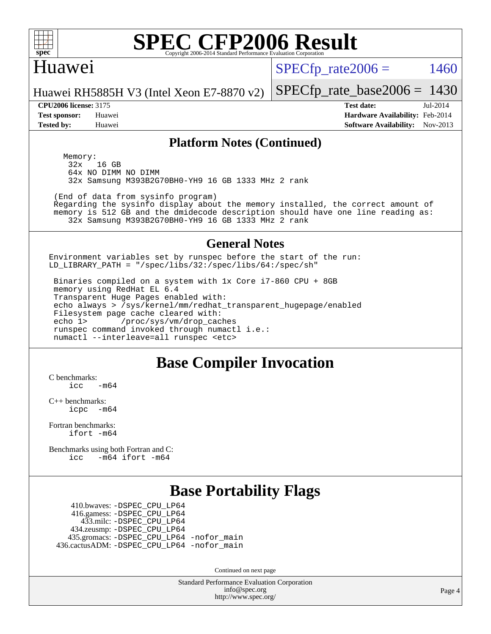

#### Huawei

 $SPECTp_rate2006 = 1460$ 

Huawei RH5885H V3 (Intel Xeon E7-8870 v2)

#### **[CPU2006 license:](http://www.spec.org/auto/cpu2006/Docs/result-fields.html#CPU2006license)** 3175 **[Test date:](http://www.spec.org/auto/cpu2006/Docs/result-fields.html#Testdate)** Jul-2014

[SPECfp\\_rate\\_base2006 =](http://www.spec.org/auto/cpu2006/Docs/result-fields.html#SPECfpratebase2006) 1430

**[Test sponsor:](http://www.spec.org/auto/cpu2006/Docs/result-fields.html#Testsponsor)** Huawei **[Hardware Availability:](http://www.spec.org/auto/cpu2006/Docs/result-fields.html#HardwareAvailability)** Feb-2014 **[Tested by:](http://www.spec.org/auto/cpu2006/Docs/result-fields.html#Testedby)** Huawei **[Software Availability:](http://www.spec.org/auto/cpu2006/Docs/result-fields.html#SoftwareAvailability)** Nov-2013

#### **[Platform Notes \(Continued\)](http://www.spec.org/auto/cpu2006/Docs/result-fields.html#PlatformNotes)**

Memory:<br>32x 16 GB 64x NO DIMM NO DIMM 32x Samsung M393B2G70BH0-YH9 16 GB 1333 MHz 2 rank

(End of data from sysinfo program)

 Regarding the sysinfo display about the memory installed, the correct amount of memory is 512 GB and the dmidecode description should have one line reading as: 32x Samsung M393B2G70BH0-YH9 16 GB 1333 MHz 2 rank

#### **[General Notes](http://www.spec.org/auto/cpu2006/Docs/result-fields.html#GeneralNotes)**

Environment variables set by runspec before the start of the run: LD\_LIBRARY\_PATH = "/spec/libs/32:/spec/libs/64:/spec/sh"

 Binaries compiled on a system with 1x Core i7-860 CPU + 8GB memory using RedHat EL 6.4 Transparent Huge Pages enabled with: echo always > /sys/kernel/mm/redhat\_transparent\_hugepage/enabled Filesystem page cache cleared with: echo 1> /proc/sys/vm/drop\_caches runspec command invoked through numactl i.e.: numactl --interleave=all runspec <etc>

### **[Base Compiler Invocation](http://www.spec.org/auto/cpu2006/Docs/result-fields.html#BaseCompilerInvocation)**

[C benchmarks](http://www.spec.org/auto/cpu2006/Docs/result-fields.html#Cbenchmarks):  $\frac{1}{2}$ cc  $-\text{m64}$ 

[C++ benchmarks:](http://www.spec.org/auto/cpu2006/Docs/result-fields.html#CXXbenchmarks) [icpc -m64](http://www.spec.org/cpu2006/results/res2014q3/cpu2006-20140728-30649.flags.html#user_CXXbase_intel_icpc_64bit_bedb90c1146cab66620883ef4f41a67e)

[Fortran benchmarks](http://www.spec.org/auto/cpu2006/Docs/result-fields.html#Fortranbenchmarks): [ifort -m64](http://www.spec.org/cpu2006/results/res2014q3/cpu2006-20140728-30649.flags.html#user_FCbase_intel_ifort_64bit_ee9d0fb25645d0210d97eb0527dcc06e)

[Benchmarks using both Fortran and C](http://www.spec.org/auto/cpu2006/Docs/result-fields.html#BenchmarksusingbothFortranandC): [icc -m64](http://www.spec.org/cpu2006/results/res2014q3/cpu2006-20140728-30649.flags.html#user_CC_FCbase_intel_icc_64bit_0b7121f5ab7cfabee23d88897260401c) [ifort -m64](http://www.spec.org/cpu2006/results/res2014q3/cpu2006-20140728-30649.flags.html#user_CC_FCbase_intel_ifort_64bit_ee9d0fb25645d0210d97eb0527dcc06e)

### **[Base Portability Flags](http://www.spec.org/auto/cpu2006/Docs/result-fields.html#BasePortabilityFlags)**

 410.bwaves: [-DSPEC\\_CPU\\_LP64](http://www.spec.org/cpu2006/results/res2014q3/cpu2006-20140728-30649.flags.html#suite_basePORTABILITY410_bwaves_DSPEC_CPU_LP64) 416.gamess: [-DSPEC\\_CPU\\_LP64](http://www.spec.org/cpu2006/results/res2014q3/cpu2006-20140728-30649.flags.html#suite_basePORTABILITY416_gamess_DSPEC_CPU_LP64) 433.milc: [-DSPEC\\_CPU\\_LP64](http://www.spec.org/cpu2006/results/res2014q3/cpu2006-20140728-30649.flags.html#suite_basePORTABILITY433_milc_DSPEC_CPU_LP64) 434.zeusmp: [-DSPEC\\_CPU\\_LP64](http://www.spec.org/cpu2006/results/res2014q3/cpu2006-20140728-30649.flags.html#suite_basePORTABILITY434_zeusmp_DSPEC_CPU_LP64) 435.gromacs: [-DSPEC\\_CPU\\_LP64](http://www.spec.org/cpu2006/results/res2014q3/cpu2006-20140728-30649.flags.html#suite_basePORTABILITY435_gromacs_DSPEC_CPU_LP64) [-nofor\\_main](http://www.spec.org/cpu2006/results/res2014q3/cpu2006-20140728-30649.flags.html#user_baseLDPORTABILITY435_gromacs_f-nofor_main) 436.cactusADM: [-DSPEC\\_CPU\\_LP64](http://www.spec.org/cpu2006/results/res2014q3/cpu2006-20140728-30649.flags.html#suite_basePORTABILITY436_cactusADM_DSPEC_CPU_LP64) [-nofor\\_main](http://www.spec.org/cpu2006/results/res2014q3/cpu2006-20140728-30649.flags.html#user_baseLDPORTABILITY436_cactusADM_f-nofor_main)

Continued on next page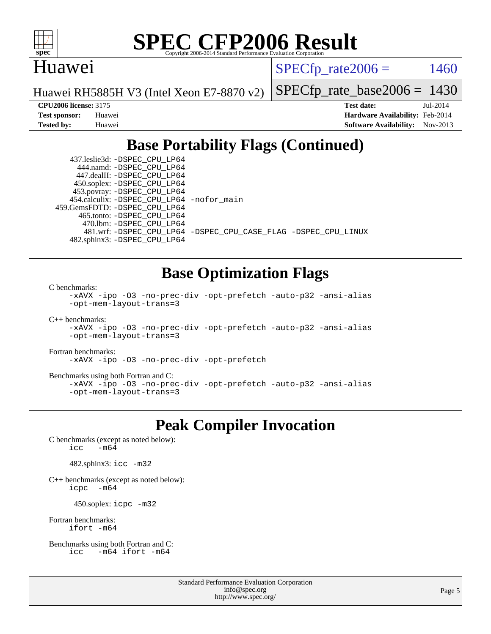

#### Huawei

 $SPECTp\_rate2006 = 1460$ 

Huawei RH5885H V3 (Intel Xeon E7-8870 v2)

[SPECfp\\_rate\\_base2006 =](http://www.spec.org/auto/cpu2006/Docs/result-fields.html#SPECfpratebase2006) 1430

**[CPU2006 license:](http://www.spec.org/auto/cpu2006/Docs/result-fields.html#CPU2006license)** 3175 **[Test date:](http://www.spec.org/auto/cpu2006/Docs/result-fields.html#Testdate)** Jul-2014 **[Test sponsor:](http://www.spec.org/auto/cpu2006/Docs/result-fields.html#Testsponsor)** Huawei **[Hardware Availability:](http://www.spec.org/auto/cpu2006/Docs/result-fields.html#HardwareAvailability)** Feb-2014 **[Tested by:](http://www.spec.org/auto/cpu2006/Docs/result-fields.html#Testedby)** Huawei **[Software Availability:](http://www.spec.org/auto/cpu2006/Docs/result-fields.html#SoftwareAvailability)** Nov-2013

### **[Base Portability Flags \(Continued\)](http://www.spec.org/auto/cpu2006/Docs/result-fields.html#BasePortabilityFlags)**

 437.leslie3d: [-DSPEC\\_CPU\\_LP64](http://www.spec.org/cpu2006/results/res2014q3/cpu2006-20140728-30649.flags.html#suite_basePORTABILITY437_leslie3d_DSPEC_CPU_LP64) 444.namd: [-DSPEC\\_CPU\\_LP64](http://www.spec.org/cpu2006/results/res2014q3/cpu2006-20140728-30649.flags.html#suite_basePORTABILITY444_namd_DSPEC_CPU_LP64) 447.dealII: [-DSPEC\\_CPU\\_LP64](http://www.spec.org/cpu2006/results/res2014q3/cpu2006-20140728-30649.flags.html#suite_basePORTABILITY447_dealII_DSPEC_CPU_LP64) 450.soplex: [-DSPEC\\_CPU\\_LP64](http://www.spec.org/cpu2006/results/res2014q3/cpu2006-20140728-30649.flags.html#suite_basePORTABILITY450_soplex_DSPEC_CPU_LP64) 453.povray: [-DSPEC\\_CPU\\_LP64](http://www.spec.org/cpu2006/results/res2014q3/cpu2006-20140728-30649.flags.html#suite_basePORTABILITY453_povray_DSPEC_CPU_LP64) 454.calculix: [-DSPEC\\_CPU\\_LP64](http://www.spec.org/cpu2006/results/res2014q3/cpu2006-20140728-30649.flags.html#suite_basePORTABILITY454_calculix_DSPEC_CPU_LP64) [-nofor\\_main](http://www.spec.org/cpu2006/results/res2014q3/cpu2006-20140728-30649.flags.html#user_baseLDPORTABILITY454_calculix_f-nofor_main) 459.GemsFDTD: [-DSPEC\\_CPU\\_LP64](http://www.spec.org/cpu2006/results/res2014q3/cpu2006-20140728-30649.flags.html#suite_basePORTABILITY459_GemsFDTD_DSPEC_CPU_LP64) 465.tonto: [-DSPEC\\_CPU\\_LP64](http://www.spec.org/cpu2006/results/res2014q3/cpu2006-20140728-30649.flags.html#suite_basePORTABILITY465_tonto_DSPEC_CPU_LP64) 470.lbm: [-DSPEC\\_CPU\\_LP64](http://www.spec.org/cpu2006/results/res2014q3/cpu2006-20140728-30649.flags.html#suite_basePORTABILITY470_lbm_DSPEC_CPU_LP64) 482.sphinx3: [-DSPEC\\_CPU\\_LP64](http://www.spec.org/cpu2006/results/res2014q3/cpu2006-20140728-30649.flags.html#suite_basePORTABILITY482_sphinx3_DSPEC_CPU_LP64)

481.wrf: [-DSPEC\\_CPU\\_LP64](http://www.spec.org/cpu2006/results/res2014q3/cpu2006-20140728-30649.flags.html#suite_basePORTABILITY481_wrf_DSPEC_CPU_LP64) [-DSPEC\\_CPU\\_CASE\\_FLAG](http://www.spec.org/cpu2006/results/res2014q3/cpu2006-20140728-30649.flags.html#b481.wrf_baseCPORTABILITY_DSPEC_CPU_CASE_FLAG) [-DSPEC\\_CPU\\_LINUX](http://www.spec.org/cpu2006/results/res2014q3/cpu2006-20140728-30649.flags.html#b481.wrf_baseCPORTABILITY_DSPEC_CPU_LINUX)

### **[Base Optimization Flags](http://www.spec.org/auto/cpu2006/Docs/result-fields.html#BaseOptimizationFlags)**

[C benchmarks](http://www.spec.org/auto/cpu2006/Docs/result-fields.html#Cbenchmarks):

[-xAVX](http://www.spec.org/cpu2006/results/res2014q3/cpu2006-20140728-30649.flags.html#user_CCbase_f-xAVX) [-ipo](http://www.spec.org/cpu2006/results/res2014q3/cpu2006-20140728-30649.flags.html#user_CCbase_f-ipo) [-O3](http://www.spec.org/cpu2006/results/res2014q3/cpu2006-20140728-30649.flags.html#user_CCbase_f-O3) [-no-prec-div](http://www.spec.org/cpu2006/results/res2014q3/cpu2006-20140728-30649.flags.html#user_CCbase_f-no-prec-div) [-opt-prefetch](http://www.spec.org/cpu2006/results/res2014q3/cpu2006-20140728-30649.flags.html#user_CCbase_f-opt-prefetch) [-auto-p32](http://www.spec.org/cpu2006/results/res2014q3/cpu2006-20140728-30649.flags.html#user_CCbase_f-auto-p32) [-ansi-alias](http://www.spec.org/cpu2006/results/res2014q3/cpu2006-20140728-30649.flags.html#user_CCbase_f-ansi-alias) [-opt-mem-layout-trans=3](http://www.spec.org/cpu2006/results/res2014q3/cpu2006-20140728-30649.flags.html#user_CCbase_f-opt-mem-layout-trans_a7b82ad4bd7abf52556d4961a2ae94d5)

[C++ benchmarks:](http://www.spec.org/auto/cpu2006/Docs/result-fields.html#CXXbenchmarks)

```
-xAVX -ipo -O3 -no-prec-div -opt-prefetch -auto-p32 -ansi-alias
-opt-mem-layout-trans=3
```
[Fortran benchmarks](http://www.spec.org/auto/cpu2006/Docs/result-fields.html#Fortranbenchmarks):

[-xAVX](http://www.spec.org/cpu2006/results/res2014q3/cpu2006-20140728-30649.flags.html#user_FCbase_f-xAVX) [-ipo](http://www.spec.org/cpu2006/results/res2014q3/cpu2006-20140728-30649.flags.html#user_FCbase_f-ipo) [-O3](http://www.spec.org/cpu2006/results/res2014q3/cpu2006-20140728-30649.flags.html#user_FCbase_f-O3) [-no-prec-div](http://www.spec.org/cpu2006/results/res2014q3/cpu2006-20140728-30649.flags.html#user_FCbase_f-no-prec-div) [-opt-prefetch](http://www.spec.org/cpu2006/results/res2014q3/cpu2006-20140728-30649.flags.html#user_FCbase_f-opt-prefetch)

[Benchmarks using both Fortran and C](http://www.spec.org/auto/cpu2006/Docs/result-fields.html#BenchmarksusingbothFortranandC):

```
-xAVX -ipo -O3 -no-prec-div -opt-prefetch -auto-p32 -ansi-alias
-opt-mem-layout-trans=3
```
### **[Peak Compiler Invocation](http://www.spec.org/auto/cpu2006/Docs/result-fields.html#PeakCompilerInvocation)**

[C benchmarks \(except as noted below\)](http://www.spec.org/auto/cpu2006/Docs/result-fields.html#Cbenchmarksexceptasnotedbelow): icc  $-m64$ 

482.sphinx3: [icc -m32](http://www.spec.org/cpu2006/results/res2014q3/cpu2006-20140728-30649.flags.html#user_peakCCLD482_sphinx3_intel_icc_a6a621f8d50482236b970c6ac5f55f93)

[C++ benchmarks \(except as noted below\):](http://www.spec.org/auto/cpu2006/Docs/result-fields.html#CXXbenchmarksexceptasnotedbelow) [icpc -m64](http://www.spec.org/cpu2006/results/res2014q3/cpu2006-20140728-30649.flags.html#user_CXXpeak_intel_icpc_64bit_bedb90c1146cab66620883ef4f41a67e)

450.soplex: [icpc -m32](http://www.spec.org/cpu2006/results/res2014q3/cpu2006-20140728-30649.flags.html#user_peakCXXLD450_soplex_intel_icpc_4e5a5ef1a53fd332b3c49e69c3330699)

[Fortran benchmarks](http://www.spec.org/auto/cpu2006/Docs/result-fields.html#Fortranbenchmarks): [ifort -m64](http://www.spec.org/cpu2006/results/res2014q3/cpu2006-20140728-30649.flags.html#user_FCpeak_intel_ifort_64bit_ee9d0fb25645d0210d97eb0527dcc06e)

[Benchmarks using both Fortran and C](http://www.spec.org/auto/cpu2006/Docs/result-fields.html#BenchmarksusingbothFortranandC): [icc -m64](http://www.spec.org/cpu2006/results/res2014q3/cpu2006-20140728-30649.flags.html#user_CC_FCpeak_intel_icc_64bit_0b7121f5ab7cfabee23d88897260401c) [ifort -m64](http://www.spec.org/cpu2006/results/res2014q3/cpu2006-20140728-30649.flags.html#user_CC_FCpeak_intel_ifort_64bit_ee9d0fb25645d0210d97eb0527dcc06e)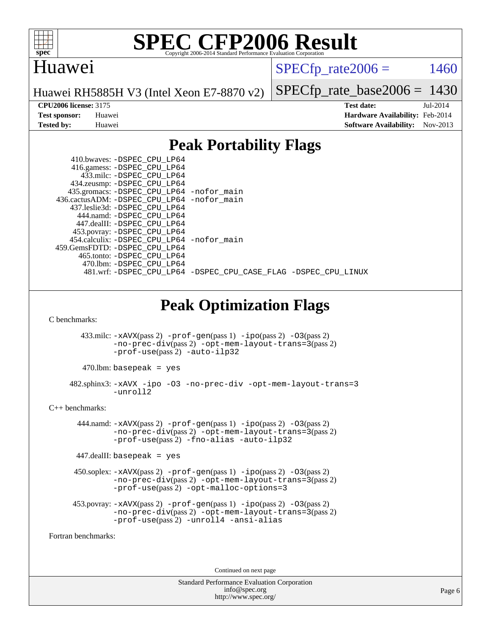

### Huawei

 $SPECfp_rate2006 = 1460$  $SPECfp_rate2006 = 1460$ 

Huawei RH5885H V3 (Intel Xeon E7-8870 v2)

[SPECfp\\_rate\\_base2006 =](http://www.spec.org/auto/cpu2006/Docs/result-fields.html#SPECfpratebase2006) 1430

**[CPU2006 license:](http://www.spec.org/auto/cpu2006/Docs/result-fields.html#CPU2006license)** 3175 **[Test date:](http://www.spec.org/auto/cpu2006/Docs/result-fields.html#Testdate)** Jul-2014 **[Test sponsor:](http://www.spec.org/auto/cpu2006/Docs/result-fields.html#Testsponsor)** Huawei **[Hardware Availability:](http://www.spec.org/auto/cpu2006/Docs/result-fields.html#HardwareAvailability)** Feb-2014 **[Tested by:](http://www.spec.org/auto/cpu2006/Docs/result-fields.html#Testedby)** Huawei **[Software Availability:](http://www.spec.org/auto/cpu2006/Docs/result-fields.html#SoftwareAvailability)** Nov-2013

### **[Peak Portability Flags](http://www.spec.org/auto/cpu2006/Docs/result-fields.html#PeakPortabilityFlags)**

| 410.bwaves: -DSPEC CPU LP64<br>416.gamess: -DSPEC_CPU_LP64<br>433.milc: -DSPEC_CPU_LP64<br>434.zeusmp: -DSPEC_CPU_LP64<br>435.gromacs: -DSPEC CPU LP64 -nofor main<br>436.cactusADM: -DSPEC_CPU_LP64 -nofor_main<br>437.leslie3d: - DSPEC CPU LP64<br>444.namd: - DSPEC_CPU_LP64<br>447.dealII: -DSPEC_CPU_LP64<br>453.povray: -DSPEC_CPU_LP64<br>454.calculix: -DSPEC_CPU_LP64 -nofor_main<br>459.GemsFDTD: - DSPEC_CPU_LP64<br>465.tonto: - DSPEC_CPU_LP64<br>470.1bm: -DSPEC CPU LP64<br>481.wrf: -DSPEC_CPU_LP64 -DSPEC_CPU_CASE_FLAG -DSPEC_CPU_LINUX |
|------------------------------------------------------------------------------------------------------------------------------------------------------------------------------------------------------------------------------------------------------------------------------------------------------------------------------------------------------------------------------------------------------------------------------------------------------------------------------------------------------------------------------------------------------------|
| <b>Peak Optimization Flags</b>                                                                                                                                                                                                                                                                                                                                                                                                                                                                                                                             |
| C benchmarks:                                                                                                                                                                                                                                                                                                                                                                                                                                                                                                                                              |
| $433 \text{.}$ milc: $-xAVX(pass 2)$ -prof-gen(pass 1) -ipo(pass 2) -03(pass 2)<br>-no-prec-div(pass 2) -opt-mem-layout-trans=3(pass 2)<br>$-prof-use(pass 2) -auto-ilp32$                                                                                                                                                                                                                                                                                                                                                                                 |
| $470$ .lbm: basepeak = yes                                                                                                                                                                                                                                                                                                                                                                                                                                                                                                                                 |
| 482.sphinx3: -xAVX -ipo -03 -no-prec-div -opt-mem-layout-trans=3<br>-unroll2                                                                                                                                                                                                                                                                                                                                                                                                                                                                               |
| $C_{++}$ benchmarks:                                                                                                                                                                                                                                                                                                                                                                                                                                                                                                                                       |
| $444$ .namd: $-xAUX(pass 2)$ -prof-gen(pass 1) -ipo(pass 2) -03(pass 2)<br>$-no-prec-div(pass 2) -opt-mem-layout-trans=3(pass 2)$<br>-prof-use(pass2) -fno-alias -auto-ilp32                                                                                                                                                                                                                                                                                                                                                                               |
| $447$ .dealII: basepeak = yes                                                                                                                                                                                                                                                                                                                                                                                                                                                                                                                              |
| $450$ .soplex: $-x$ AVX(pass 2) $-p$ rof-gen(pass 1) $-i$ po(pass 2) $-03$ (pass 2)<br>$-no\text{-prec-div}(pass 2)$ -opt-mem-layout-trans= $3 (pass 2)$<br>$-prof-use(pass 2) - opt-malloc-optims=3$                                                                                                                                                                                                                                                                                                                                                      |
| $453.$ povray: $-xAVX(pass 2)$ -prof-gen(pass 1) -ipo(pass 2) -03(pass 2)<br>$-no\text{-prec-div}(pass 2) - opt-mem-layer-trans=3 (pass 2)$<br>-prof-use(pass2) -unroll4 -ansi-alias                                                                                                                                                                                                                                                                                                                                                                       |
| Fortran benchmarks:                                                                                                                                                                                                                                                                                                                                                                                                                                                                                                                                        |
|                                                                                                                                                                                                                                                                                                                                                                                                                                                                                                                                                            |

Continued on next page